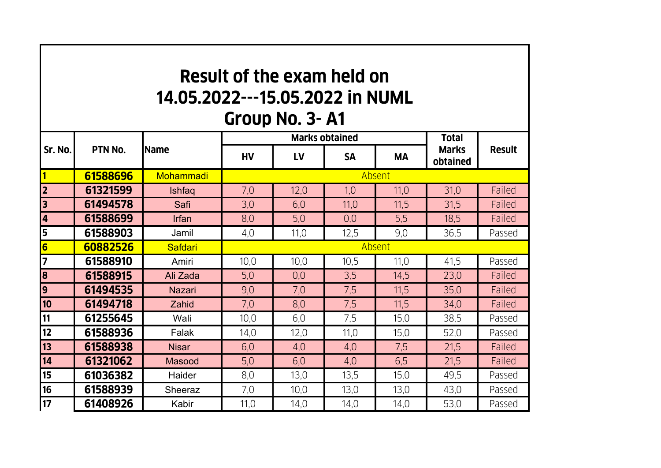## **Result of the exam held on 14.05.2022---15.05.2022 in NUMLGroup No. 3- A1**

## **HV LV SA MA1 61588696Mohammadi 2 613215999** | Ishfaq | 7,0 | 12,0 | 1,0 | 11,0 | 31,0 | Failed **3 614945788** | Safi | 3,0 | 6,0 | 11,0 | 11,5 | 31,5 | Failed **4 615886999** | Irfan | 8,0 | 5,0 | 0,0 | 5,5 | 18,5 | Failed **5 615889033** | Jamil | 4,0 | 11,0 | 12,5 | 9,0 | 36,5 | Passed **6 60882526** Safdari **7 615889100 | Amiri | 10,0 | 10,0 | 10,5 | 11,0 | 41,5 | Passed 8 615889155 | Ali Zada | 5**,0 | 0,0 | 3,5 | 14,5 | 23,0 | Failed **9 614945355 | Nazari | 9,0 | 7,0 | 7,5 | 11,5 | 35,0 | Failed 10 614947188** | Zahid | 7,0 | 8,0 | 7,5 | 11,5 | 34,0 | Failed **11 612556455** | Wali | 10,0 | 6,0 | 7,5 | 15,0 | 38,5 | Passed **12 615889366** | Falak | 14,0 | 12,0 | 11,0 | 15,0 | 52,0 | Passed **13 615889388** | Nisar | 6,0 | 4,0 | 4,0 | 7,5 | 21,5 | Failed **14 61321062**2 | Masood | 5,0 | 6,0 | 4,0 | 6,5 | 21,5 | Failed **15 610363822 | Haider |** 8,0 | 13,0 | 13,5 | 15,0 | 49,5 | Passed **16 615889399** Sheeraz 1 7,0 1 10,0 1 13,0 13,0 13,0 Passed **17 614089266 | Kabir | 11,0 | 14,0 | 14,0 | 14,0 | 53,0 | Passed Sr. No. PTN No. NameMarks obtained Total Marks obtainedResult**AbsentAbsent